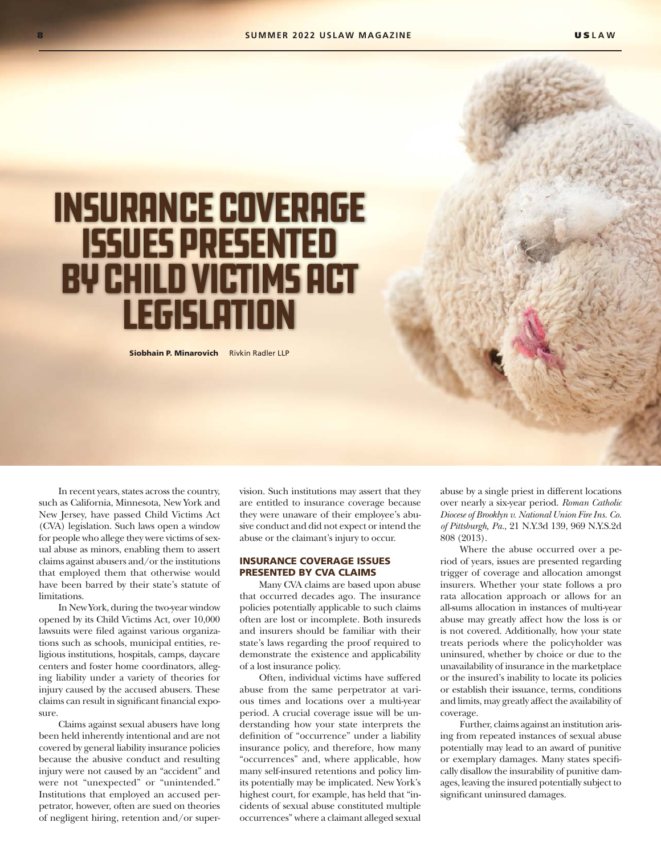# Insurance Coverage Issues Presented by Child Victims Act **LEGISLATION**

Siobhain P. Minarovich Rivkin Radler LLP

In recent years, states across the country, such as California, Minnesota, New York and New Jersey, have passed Child Victims Act (CVA) legislation. Such laws open a window for people who allege they were victims of sexual abuse as minors, enabling them to assert claims against abusers and/or the institutions that employed them that otherwise would have been barred by their state's statute of **limitations** 

In New York, during the two-year window opened by its Child Victims Act, over 10,000 lawsuits were filed against various organizations such as schools, municipal entities, religious institutions, hospitals, camps, daycare centers and foster home coordinators, alleging liability under a variety of theories for injury caused by the accused abusers. These claims can result in significant financial exposure.

Claims against sexual abusers have long been held inherently intentional and are not covered by general liability insurance policies because the abusive conduct and resulting injury were not caused by an "accident" and were not "unexpected" or "unintended." Institutions that employed an accused perpetrator, however, often are sued on theories of negligent hiring, retention and/or super-

vision. Such institutions may assert that they are entitled to insurance coverage because they were unaware of their employee's abusive conduct and did not expect or intend the abuse or the claimant's injury to occur.

## INSURANCE COVERAGE ISSUES PRESENTED BY CVA CLAIMS

Many CVA claims are based upon abuse that occurred decades ago. The insurance policies potentially applicable to such claims often are lost or incomplete. Both insureds and insurers should be familiar with their state's laws regarding the proof required to demonstrate the existence and applicability of a lost insurance policy.

Often, individual victims have suffered abuse from the same perpetrator at various times and locations over a multi-year period. A crucial coverage issue will be understanding how your state interprets the definition of "occurrence" under a liability insurance policy, and therefore, how many "occurrences" and, where applicable, how many self-insured retentions and policy limits potentially may be implicated. New York's highest court, for example, has held that "incidents of sexual abuse constituted multiple occurrences" where a claimant alleged sexual

abuse by a single priest in different locations over nearly a six-year period. *Roman Catholic Diocese of Brooklyn v. National Union Fire Ins. Co. of Pittsburgh, Pa.*, 21 N.Y.3d 139, 969 N.Y.S.2d 808 (2013).

Where the abuse occurred over a period of years, issues are presented regarding trigger of coverage and allocation amongst insurers. Whether your state follows a pro rata allocation approach or allows for an all-sums allocation in instances of multi-year abuse may greatly affect how the loss is or is not covered. Additionally, how your state treats periods where the policyholder was uninsured, whether by choice or due to the unavailability of insurance in the marketplace or the insured's inability to locate its policies or establish their issuance, terms, conditions and limits, may greatly affect the availability of coverage.

Further, claims against an institution arising from repeated instances of sexual abuse potentially may lead to an award of punitive or exemplary damages. Many states specifically disallow the insurability of punitive damages, leaving the insured potentially subject to significant uninsured damages.